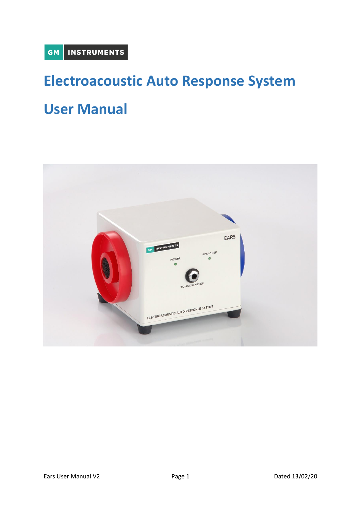# **Electroacoustic Auto Response System**

# **User Manual**

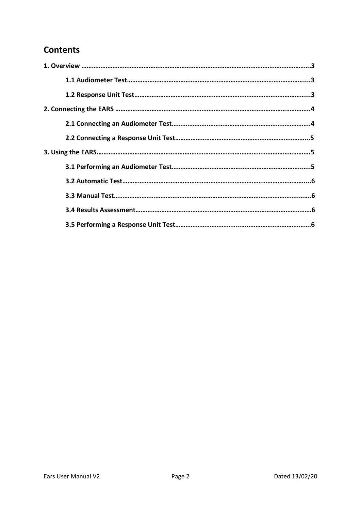# **Contents**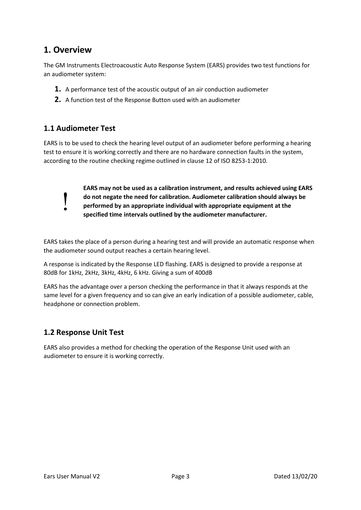# **1. Overview**

The GM Instruments Electroacoustic Auto Response System (EARS) provides two test functions for an audiometer system:

- **1.** A performance test of the acoustic output of an air conduction audiometer
- **2.** A function test of the Response Button used with an audiometer

# **1.1 Audiometer Test**

I

EARS is to be used to check the hearing level output of an audiometer before performing a hearing test to ensure it is working correctly and there are no hardware connection faults in the system, according to the routine checking regime outlined in clause 12 of ISO 8253-1:2010.

> **EARS may not be used as a calibration instrument, and results achieved using EARS do not negate the need for calibration. Audiometer calibration should always be performed by an appropriate individual with appropriate equipment at the specified time intervals outlined by the audiometer manufacturer.**

EARS takes the place of a person during a hearing test and will provide an automatic response when the audiometer sound output reaches a certain hearing level.

A response is indicated by the Response LED flashing. EARS is designed to provide a response at 80dB for 1kHz, 2kHz, 3kHz, 4kHz, 6 kHz. Giving a sum of 400dB

EARS has the advantage over a person checking the performance in that it always responds at the same level for a given frequency and so can give an early indication of a possible audiometer, cable, headphone or connection problem.

# **1.2 Response Unit Test**

EARS also provides a method for checking the operation of the Response Unit used with an audiometer to ensure it is working correctly.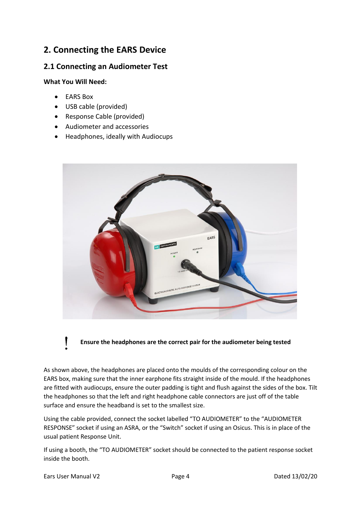# **2. Connecting the EARS Device**

## **2.1 Connecting an Audiometer Test**

#### **What You Will Need:**

- EARS Box
- USB cable (provided)
- Response Cable (provided)
- Audiometer and accessories
- Headphones, ideally with Audiocups



**Ensure the headphones are the correct pair for the audiometer being tested**

As shown above, the headphones are placed onto the moulds of the corresponding colour on the EARS box, making sure that the inner earphone fits straight inside of the mould. If the headphones are fitted with audiocups, ensure the outer padding is tight and flush against the sides of the box. Tilt the headphones so that the left and right headphone cable connectors are just off of the table surface and ensure the headband is set to the smallest size.

Using the cable provided, connect the socket labelled "TO AUDIOMETER" to the "AUDIOMETER RESPONSE" socket if using an ASRA, or the "Switch" socket if using an Osicus. This is in place of the usual patient Response Unit.

If using a booth, the "TO AUDIOMETER" socket should be connected to the patient response socket inside the booth.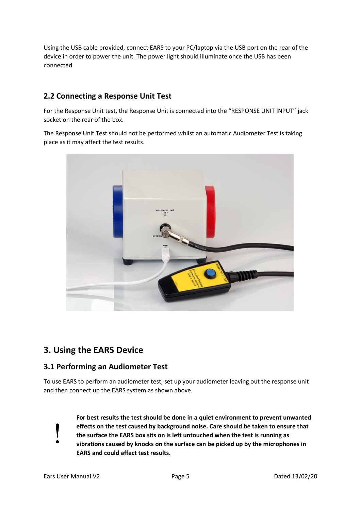Using the USB cable provided, connect EARS to your PC/laptop via the USB port on the rear of the device in order to power the unit. The power light should illuminate once the USB has been connected.

# **2.2 Connecting a Response Unit Test**

For the Response Unit test, the Response Unit is connected into the "RESPONSE UNIT INPUT" jack socket on the rear of the box.

The Response Unit Test should not be performed whilst an automatic Audiometer Test is taking place as it may affect the test results.



# **3. Using the EARS Device**

#### **3.1 Performing an Audiometer Test**

To use EARS to perform an audiometer test, set up your audiometer leaving out the response unit and then connect up the EARS system as shown above.



**For best results the test should be done in a quiet environment to prevent unwanted effects on the test caused by background noise. Care should be taken to ensure that the surface the EARS box sits on is left untouched when the test is running as vibrations caused by knocks on the surface can be picked up by the microphones in EARS and could affect test results.**